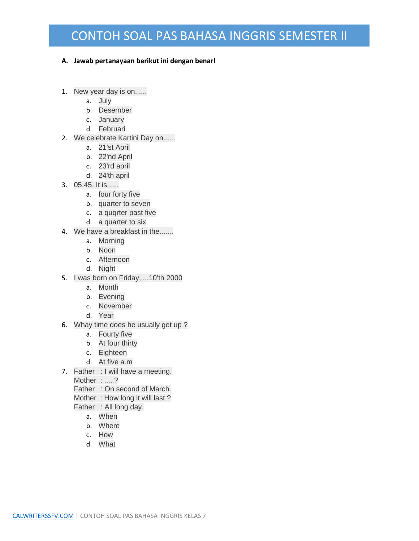## CONTOH SOAL PAS BAHASA INGGRIS SEMESTER II

## **A. Jawab pertanayaan berikut ini dengan benar!**

- 1. New year day is on......
	- a. July
	- b. Desember
	- c. January
	- d. Februari
- 2. We celebrate Kartini Day on......
	- a. 21'st April
	- b. 22'nd April
	- c. 23'rd april
	- d. 24'th april
- 3. 05.45. It is......
	- a. four forty five
	- b. quarter to seven
	- c. a quqrter past five
	- d. a quarter to six
- 4. We have a breakfast in the.......
	- a. Morning
	- b. Noon
	- c. Afternoon
	- d. Night
- 5. I was born on Friday,....10'th 2000
	- a. Month
	- b. Evening
	- c. November
	- d. Year
- 6. Whay time does he usually get up ?
	- a. Fourty five
	- b. At four thirty
	- c. Eighteen
	- d. At five a.m
- 7. Father : I wiil have a meeting.

Mother: .....?

- Father : On second of March.
- Mother : How long it will last ?
- Father : All long day.
	- a. When
	- b. Where
	- c. How
	- d. What